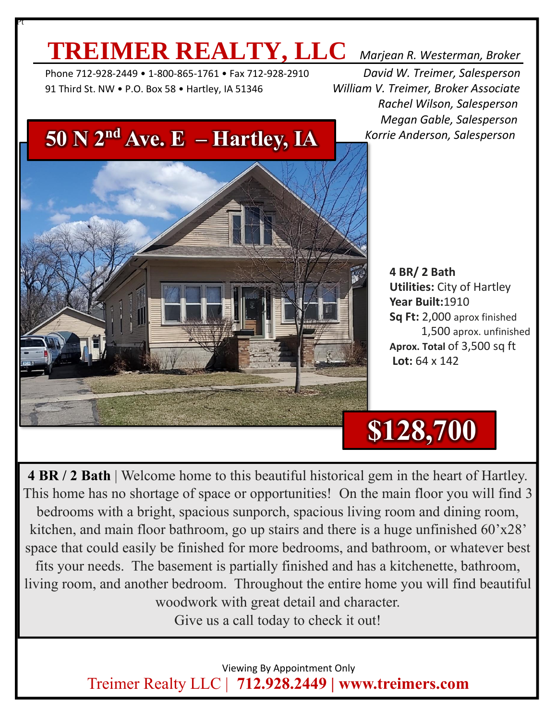## **TREIMER REALTY, LLC** *Marjean R. Westerman, Broker*

 Phone 712-928-2449 • 1-800-865-1761 • Fax 712-928-2910 *David W. Treimer, Salesperson* 91 Third St. NW • P.O. Box 58 • Hartley, IA 51346 *William V. Treimer, Broker Associate*

Pt

 *Rachel Wilson, Salesperson Megan Gable, Salesperson Korrie Anderson, Salesperson*



**4 BR/ 2 Bath Utilities:** City of Hartley **Year Built:**1910 **Sq Ft:** 2,000 aprox finished 1,500 aprox. unfinished **Aprox. Total** of 3,500 sq ft **Lot:** 64 x 142

# **\$128,700**

**4 BR / 2 Bath** | Welcome home to this beautiful historical gem in the heart of Hartley. This home has no shortage of space or opportunities! On the main floor you will find 3 bedrooms with a bright, spacious sunporch, spacious living room and dining room, kitchen, and main floor bathroom, go up stairs and there is a huge unfinished 60'x28' space that could easily be finished for more bedrooms, and bathroom, or whatever best

fits your needs. The basement is partially finished and has a kitchenette, bathroom, living room, and another bedroom. Throughout the entire home you will find beautiful woodwork with great detail and character.

Give us a call today to check it out!

 Viewing By Appointment Only Treimer Realty LLC | **712.928.2449 | www.treimers.com**